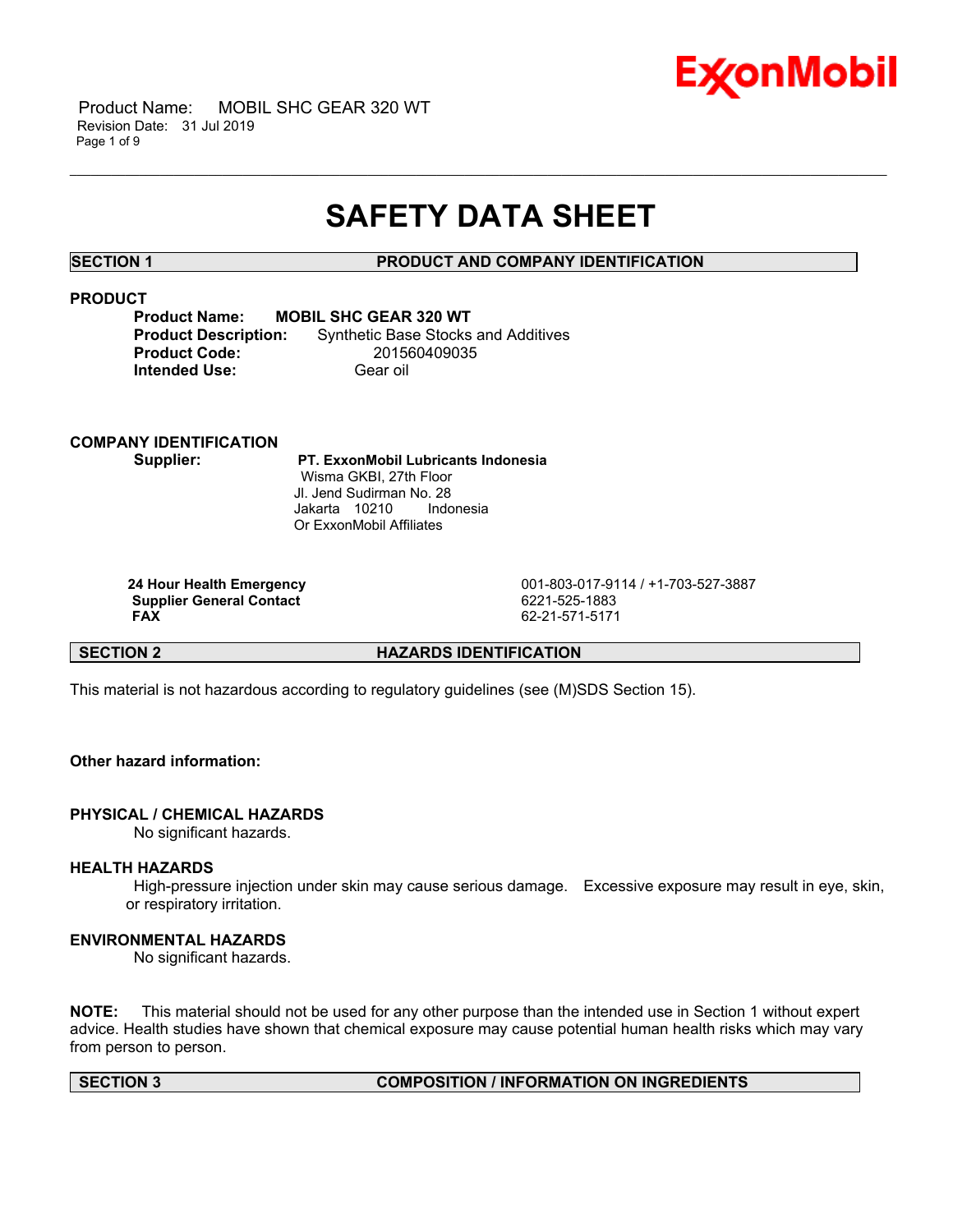

# **SAFETY DATA SHEET**

\_\_\_\_\_\_\_\_\_\_\_\_\_\_\_\_\_\_\_\_\_\_\_\_\_\_\_\_\_\_\_\_\_\_\_\_\_\_\_\_\_\_\_\_\_\_\_\_\_\_\_\_\_\_\_\_\_\_\_\_\_\_\_\_\_\_\_\_\_\_\_\_\_\_\_\_\_\_\_\_\_\_\_\_\_\_\_\_\_\_\_\_\_\_\_\_\_\_\_\_\_\_\_\_\_\_\_\_\_\_\_\_\_\_\_\_\_\_

#### **SECTION 1 PRODUCT AND COMPANY IDENTIFICATION**

### **PRODUCT**

| <b>MOBIL SHC GEAR 320 WT</b><br><b>Product Name:</b> |                                            |  |  |  |
|------------------------------------------------------|--------------------------------------------|--|--|--|
| <b>Product Description:</b>                          | <b>Synthetic Base Stocks and Additives</b> |  |  |  |
| <b>Product Code:</b>                                 | 201560409035                               |  |  |  |
| <b>Intended Use:</b>                                 | Gear oil                                   |  |  |  |

# **COMPANY IDENTIFICATION**

 **Supplier: PT. ExxonMobil Lubricants Indonesia** Wisma GKBI, 27th Floor Jl. Jend Sudirman No. 28 Jakarta 10210 Indonesia Or ExxonMobil Affiliates

**Supplier General Contact FAX** 

 **24 Hour Health Emergency** 001-803-017-9114 / +1-703-527-3887  **FAX** 62-21-571-5171

**SECTION 2 HAZARDS IDENTIFICATION**

This material is not hazardous according to regulatory guidelines (see (M)SDS Section 15).

# **Other hazard information:**

# **PHYSICAL / CHEMICAL HAZARDS**

No significant hazards.

### **HEALTH HAZARDS**

 High-pressure injection under skin may cause serious damage. Excessive exposure may result in eye, skin, or respiratory irritation.

### **ENVIRONMENTAL HAZARDS**

No significant hazards.

**NOTE:** This material should not be used for any other purpose than the intended use in Section 1 without expert advice. Health studies have shown that chemical exposure may cause potential human health risks which may vary from person to person.

#### **SECTION 3 COMPOSITION / INFORMATION ON INGREDIENTS**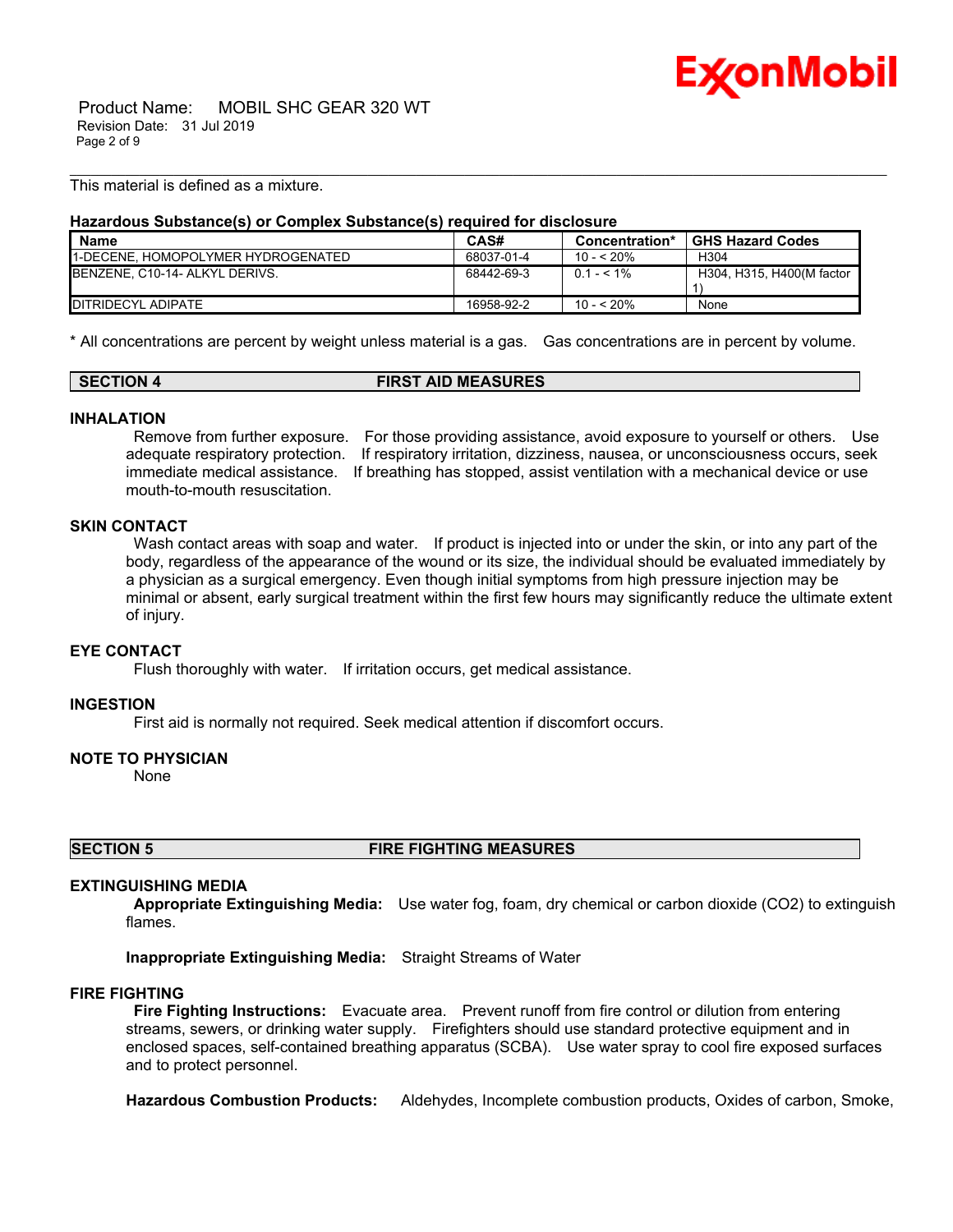

 Product Name: MOBIL SHC GEAR 320 WT Revision Date: 31 Jul 2019 Page 2 of 9

This material is defined as a mixture.

#### **Hazardous Substance(s) or Complex Substance(s) required for disclosure**

| <b>Name</b>                               | CAS#       | Concentration* | <b>GHS Hazard Codes</b>   |
|-------------------------------------------|------------|----------------|---------------------------|
| <b>1-DECENE. HOMOPOLYMER HYDROGENATED</b> | 68037-01-4 | $10 - 520%$    | H304                      |
| BENZENE, C10-14- ALKYL DERIVS.            | 68442-69-3 | $0.1 - 5.1\%$  | H304, H315, H400(M factor |
| <b>IDITRIDECYL ADIPATE</b>                | 16958-92-2 | $10 - 520%$    | None                      |

\_\_\_\_\_\_\_\_\_\_\_\_\_\_\_\_\_\_\_\_\_\_\_\_\_\_\_\_\_\_\_\_\_\_\_\_\_\_\_\_\_\_\_\_\_\_\_\_\_\_\_\_\_\_\_\_\_\_\_\_\_\_\_\_\_\_\_\_\_\_\_\_\_\_\_\_\_\_\_\_\_\_\_\_\_\_\_\_\_\_\_\_\_\_\_\_\_\_\_\_\_\_\_\_\_\_\_\_\_\_\_\_\_\_\_\_\_\_

\* All concentrations are percent by weight unless material is a gas. Gas concentrations are in percent by volume.

| SECTION 4 | <b>FIRST AID MEASURES</b> |  |
|-----------|---------------------------|--|
|-----------|---------------------------|--|

#### **INHALATION**

 Remove from further exposure. For those providing assistance, avoid exposure to yourself or others. Use adequate respiratory protection. If respiratory irritation, dizziness, nausea, or unconsciousness occurs, seek immediate medical assistance. If breathing has stopped, assist ventilation with a mechanical device or use mouth-to-mouth resuscitation.

#### **SKIN CONTACT**

Wash contact areas with soap and water. If product is injected into or under the skin, or into any part of the body, regardless of the appearance of the wound or its size, the individual should be evaluated immediately by a physician as a surgical emergency. Even though initial symptoms from high pressure injection may be minimal or absent, early surgical treatment within the first few hours may significantly reduce the ultimate extent of injury.

# **EYE CONTACT**

Flush thoroughly with water. If irritation occurs, get medical assistance.

#### **INGESTION**

First aid is normally not required. Seek medical attention if discomfort occurs.

#### **NOTE TO PHYSICIAN**

None

**SECTION 5 FIRE FIGHTING MEASURES**

#### **EXTINGUISHING MEDIA**

 **Appropriate Extinguishing Media:** Use water fog, foam, dry chemical or carbon dioxide (CO2) to extinguish flames.

**Inappropriate Extinguishing Media:** Straight Streams of Water

#### **FIRE FIGHTING**

 **Fire Fighting Instructions:** Evacuate area. Prevent runoff from fire control or dilution from entering streams, sewers, or drinking water supply. Firefighters should use standard protective equipment and in enclosed spaces, self-contained breathing apparatus (SCBA). Use water spray to cool fire exposed surfaces and to protect personnel.

**Hazardous Combustion Products:** Aldehydes, Incomplete combustion products, Oxides of carbon, Smoke,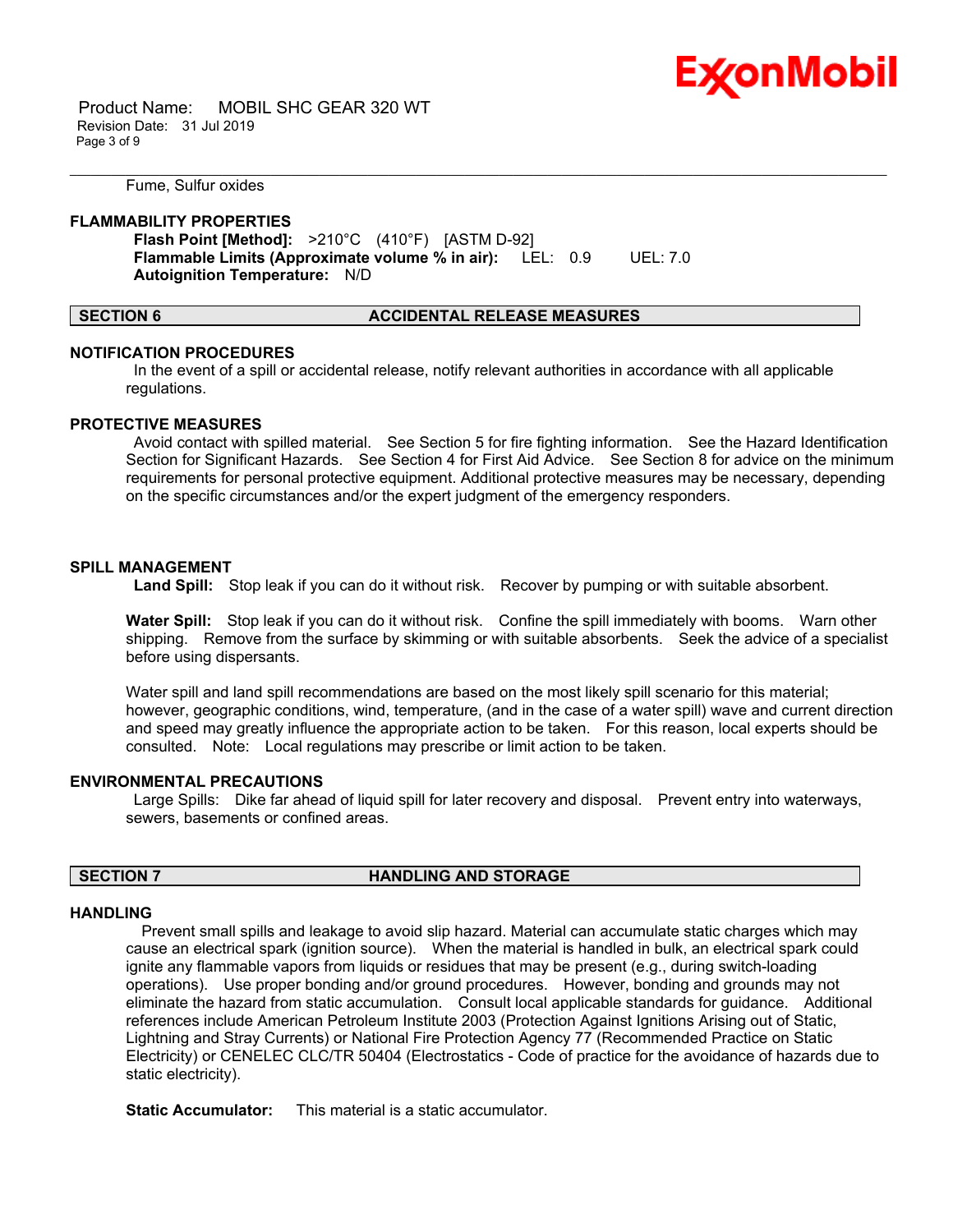

 Product Name: MOBIL SHC GEAR 320 WT Revision Date: 31 Jul 2019 Page 3 of 9

Fume, Sulfur oxides

#### **FLAMMABILITY PROPERTIES**

 **Flash Point [Method]:** >210°C (410°F) [ASTM D-92]  **Flammable Limits (Approximate volume % in air):** LEL: 0.9 UEL: 7.0  **Autoignition Temperature:** N/D

#### **SECTION 6 ACCIDENTAL RELEASE MEASURES**

\_\_\_\_\_\_\_\_\_\_\_\_\_\_\_\_\_\_\_\_\_\_\_\_\_\_\_\_\_\_\_\_\_\_\_\_\_\_\_\_\_\_\_\_\_\_\_\_\_\_\_\_\_\_\_\_\_\_\_\_\_\_\_\_\_\_\_\_\_\_\_\_\_\_\_\_\_\_\_\_\_\_\_\_\_\_\_\_\_\_\_\_\_\_\_\_\_\_\_\_\_\_\_\_\_\_\_\_\_\_\_\_\_\_\_\_\_\_

#### **NOTIFICATION PROCEDURES**

 In the event of a spill or accidental release, notify relevant authorities in accordance with all applicable regulations.

#### **PROTECTIVE MEASURES**

 Avoid contact with spilled material. See Section 5 for fire fighting information. See the Hazard Identification Section for Significant Hazards. See Section 4 for First Aid Advice. See Section 8 for advice on the minimum requirements for personal protective equipment. Additional protective measures may be necessary, depending on the specific circumstances and/or the expert judgment of the emergency responders.

### **SPILL MANAGEMENT**

 **Land Spill:** Stop leak if you can do it without risk. Recover by pumping or with suitable absorbent.

**Water Spill:** Stop leak if you can do it without risk. Confine the spill immediately with booms. Warn other shipping. Remove from the surface by skimming or with suitable absorbents. Seek the advice of a specialist before using dispersants.

Water spill and land spill recommendations are based on the most likely spill scenario for this material; however, geographic conditions, wind, temperature, (and in the case of a water spill) wave and current direction and speed may greatly influence the appropriate action to be taken. For this reason, local experts should be consulted. Note: Local regulations may prescribe or limit action to be taken.

### **ENVIRONMENTAL PRECAUTIONS**

 Large Spills: Dike far ahead of liquid spill for later recovery and disposal. Prevent entry into waterways, sewers, basements or confined areas.

### **SECTION 7 HANDLING AND STORAGE**

#### **HANDLING**

 Prevent small spills and leakage to avoid slip hazard. Material can accumulate static charges which may cause an electrical spark (ignition source). When the material is handled in bulk, an electrical spark could ignite any flammable vapors from liquids or residues that may be present (e.g., during switch-loading operations). Use proper bonding and/or ground procedures. However, bonding and grounds may not eliminate the hazard from static accumulation. Consult local applicable standards for guidance. Additional references include American Petroleum Institute 2003 (Protection Against Ignitions Arising out of Static, Lightning and Stray Currents) or National Fire Protection Agency 77 (Recommended Practice on Static Electricity) or CENELEC CLC/TR 50404 (Electrostatics - Code of practice for the avoidance of hazards due to static electricity).

**Static Accumulator:** This material is a static accumulator.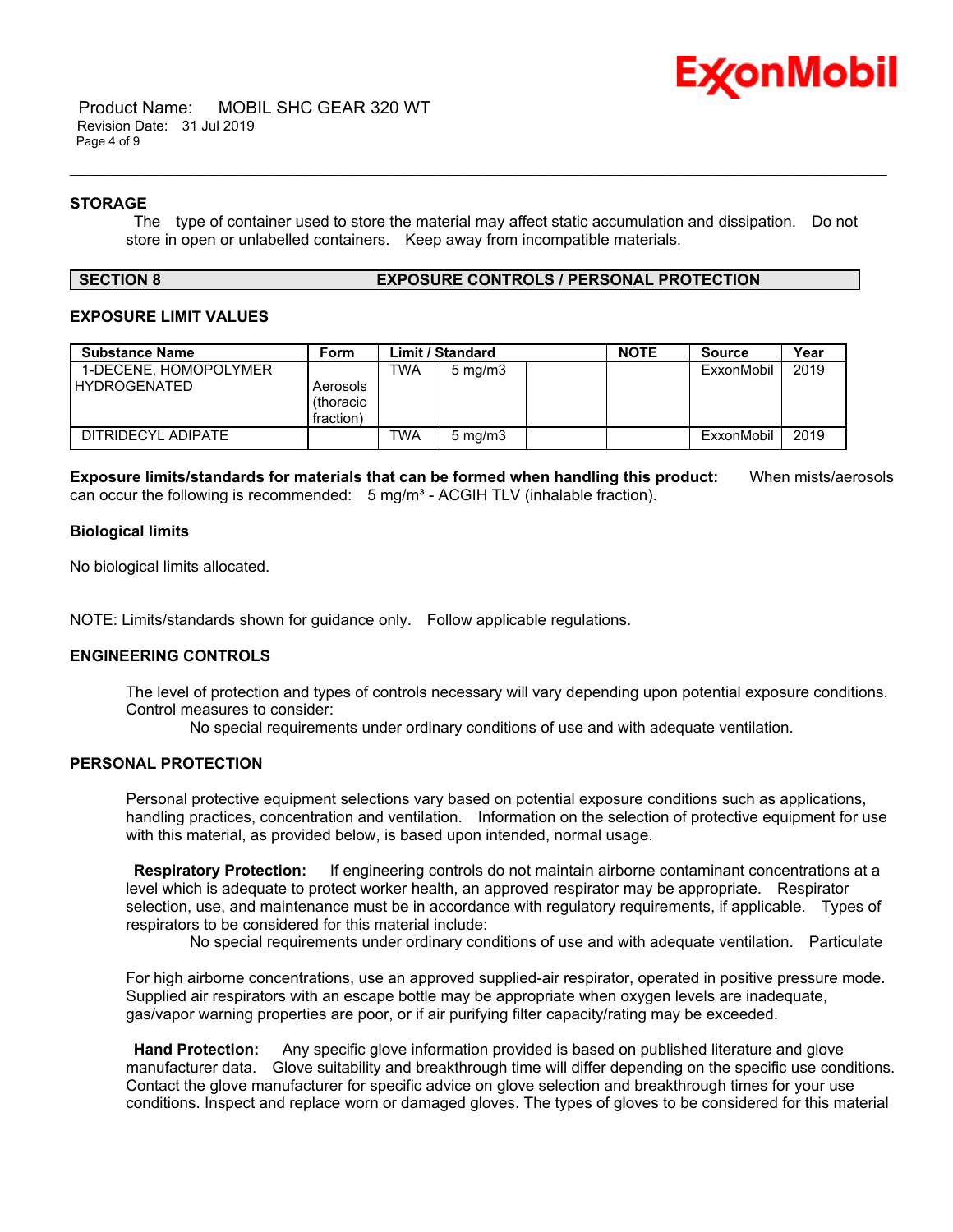

#### **STORAGE**

 The type of container used to store the material may affect static accumulation and dissipation. Do not store in open or unlabelled containers. Keep away from incompatible materials.

\_\_\_\_\_\_\_\_\_\_\_\_\_\_\_\_\_\_\_\_\_\_\_\_\_\_\_\_\_\_\_\_\_\_\_\_\_\_\_\_\_\_\_\_\_\_\_\_\_\_\_\_\_\_\_\_\_\_\_\_\_\_\_\_\_\_\_\_\_\_\_\_\_\_\_\_\_\_\_\_\_\_\_\_\_\_\_\_\_\_\_\_\_\_\_\_\_\_\_\_\_\_\_\_\_\_\_\_\_\_\_\_\_\_\_\_\_\_

#### **SECTION 8 EXPOSURE CONTROLS / PERSONAL PROTECTION**

### **EXPOSURE LIMIT VALUES**

| <b>Substance Name</b>                        | Form                  |            | <b>Limit / Standard</b> | <b>NOTE</b> | <b>Source</b> | Year |
|----------------------------------------------|-----------------------|------------|-------------------------|-------------|---------------|------|
| 1-DECENE, HOMOPOLYMER<br><b>HYDROGENATED</b> | Aerosols<br>(thoracic | TWA        | $5 \text{ mg/m}$        |             | ExxonMobil    | 2019 |
|                                              | fraction)             |            |                         |             |               |      |
| DITRIDECYL ADIPATE                           |                       | <b>TWA</b> | $5 \text{ mg/m}$        |             | ExxonMobil    | 2019 |

**Exposure limits/standards for materials that can be formed when handling this product:** When mists/aerosols can occur the following is recommended:  $5 \text{ mg/m}^3$  - ACGIH TLV (inhalable fraction).

#### **Biological limits**

No biological limits allocated.

NOTE: Limits/standards shown for guidance only. Follow applicable regulations.

### **ENGINEERING CONTROLS**

The level of protection and types of controls necessary will vary depending upon potential exposure conditions. Control measures to consider:

No special requirements under ordinary conditions of use and with adequate ventilation.

### **PERSONAL PROTECTION**

Personal protective equipment selections vary based on potential exposure conditions such as applications, handling practices, concentration and ventilation. Information on the selection of protective equipment for use with this material, as provided below, is based upon intended, normal usage.

 **Respiratory Protection:** If engineering controls do not maintain airborne contaminant concentrations at a level which is adequate to protect worker health, an approved respirator may be appropriate. Respirator selection, use, and maintenance must be in accordance with regulatory requirements, if applicable. Types of respirators to be considered for this material include:

No special requirements under ordinary conditions of use and with adequate ventilation. Particulate

For high airborne concentrations, use an approved supplied-air respirator, operated in positive pressure mode. Supplied air respirators with an escape bottle may be appropriate when oxygen levels are inadequate, gas/vapor warning properties are poor, or if air purifying filter capacity/rating may be exceeded.

 **Hand Protection:** Any specific glove information provided is based on published literature and glove manufacturer data. Glove suitability and breakthrough time will differ depending on the specific use conditions. Contact the glove manufacturer for specific advice on glove selection and breakthrough times for your use conditions. Inspect and replace worn or damaged gloves. The types of gloves to be considered for this material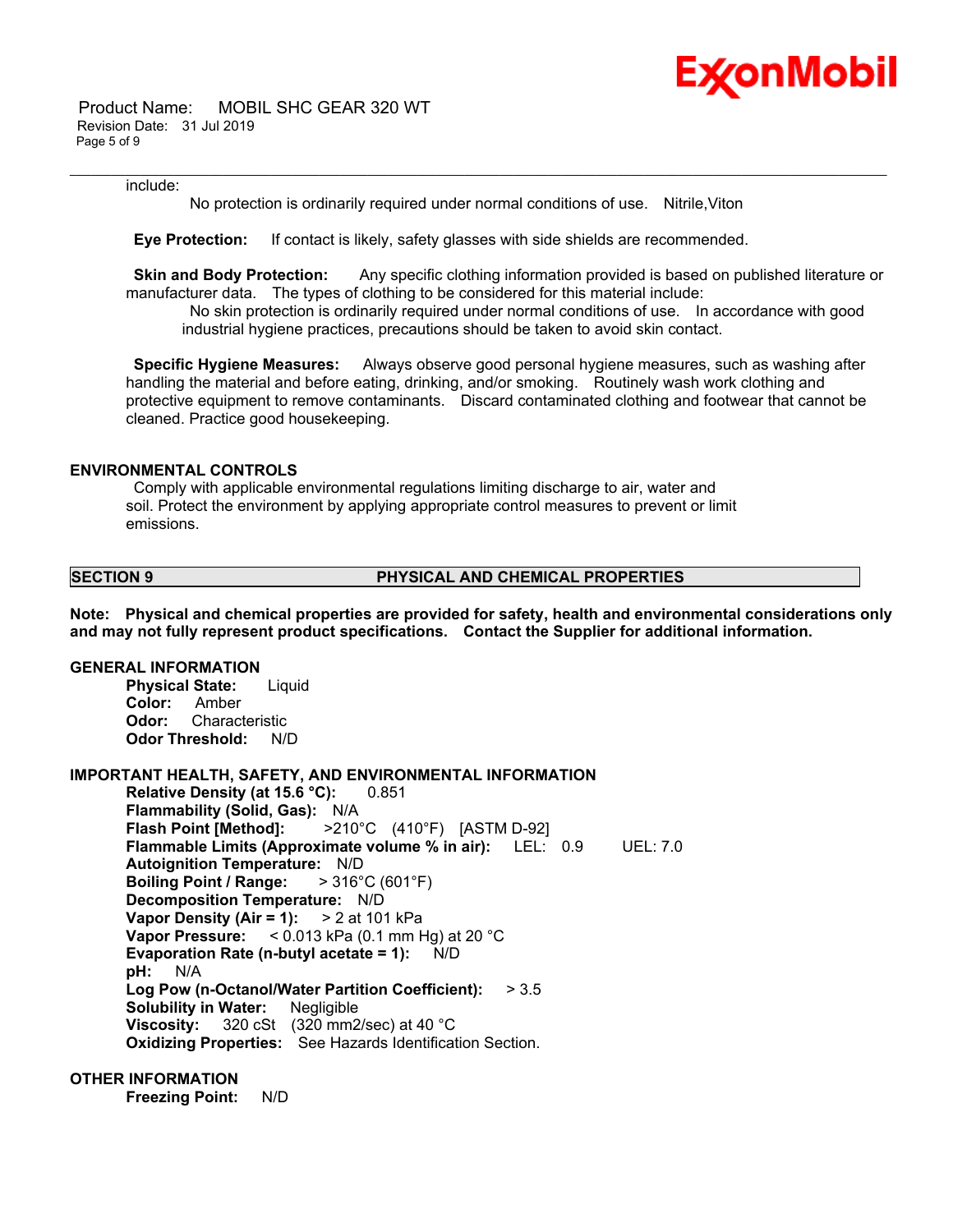

 Product Name: MOBIL SHC GEAR 320 WT Revision Date: 31 Jul 2019 Page 5 of 9

#### include:

No protection is ordinarily required under normal conditions of use. Nitrile,Viton

\_\_\_\_\_\_\_\_\_\_\_\_\_\_\_\_\_\_\_\_\_\_\_\_\_\_\_\_\_\_\_\_\_\_\_\_\_\_\_\_\_\_\_\_\_\_\_\_\_\_\_\_\_\_\_\_\_\_\_\_\_\_\_\_\_\_\_\_\_\_\_\_\_\_\_\_\_\_\_\_\_\_\_\_\_\_\_\_\_\_\_\_\_\_\_\_\_\_\_\_\_\_\_\_\_\_\_\_\_\_\_\_\_\_\_\_\_\_

 **Eye Protection:** If contact is likely, safety glasses with side shields are recommended.

**Skin and Body Protection:** Any specific clothing information provided is based on published literature or manufacturer data. The types of clothing to be considered for this material include:

 No skin protection is ordinarily required under normal conditions of use. In accordance with good industrial hygiene practices, precautions should be taken to avoid skin contact.

 **Specific Hygiene Measures:** Always observe good personal hygiene measures, such as washing after handling the material and before eating, drinking, and/or smoking. Routinely wash work clothing and protective equipment to remove contaminants. Discard contaminated clothing and footwear that cannot be cleaned. Practice good housekeeping.

### **ENVIRONMENTAL CONTROLS**

 Comply with applicable environmental regulations limiting discharge to air, water and soil. Protect the environment by applying appropriate control measures to prevent or limit emissions.

#### **SECTION 9 PHYSICAL AND CHEMICAL PROPERTIES**

**Note: Physical and chemical properties are provided for safety, health and environmental considerations only and may not fully represent product specifications. Contact the Supplier for additional information.**

#### **GENERAL INFORMATION**

**Physical State:** Liquid **Color:** Amber **Odor:** Characteristic **Odor Threshold:** N/D

## **IMPORTANT HEALTH, SAFETY, AND ENVIRONMENTAL INFORMATION**

**Relative Density (at 15.6 °C):** 0.851 **Flammability (Solid, Gas):** N/A **Flash Point [Method]:** >210°C (410°F) [ASTM D-92] **Flammable Limits (Approximate volume % in air):** LEL: 0.9 UEL: 7.0 **Autoignition Temperature:** N/D **Boiling Point / Range:** > 316°C (601°F) **Decomposition Temperature:** N/D **Vapor Density (Air = 1):** > 2 at 101 kPa **Vapor Pressure:** < 0.013 kPa (0.1 mm Hg) at 20 °C **Evaporation Rate (n-butyl acetate = 1):** N/D **pH:** N/A **Log Pow (n-Octanol/Water Partition Coefficient):** > 3.5 **Solubility in Water:** Negligible **Viscosity:** 320 cSt (320 mm2/sec) at 40 °C **Oxidizing Properties:** See Hazards Identification Section.

#### **OTHER INFORMATION**

**Freezing Point:** N/D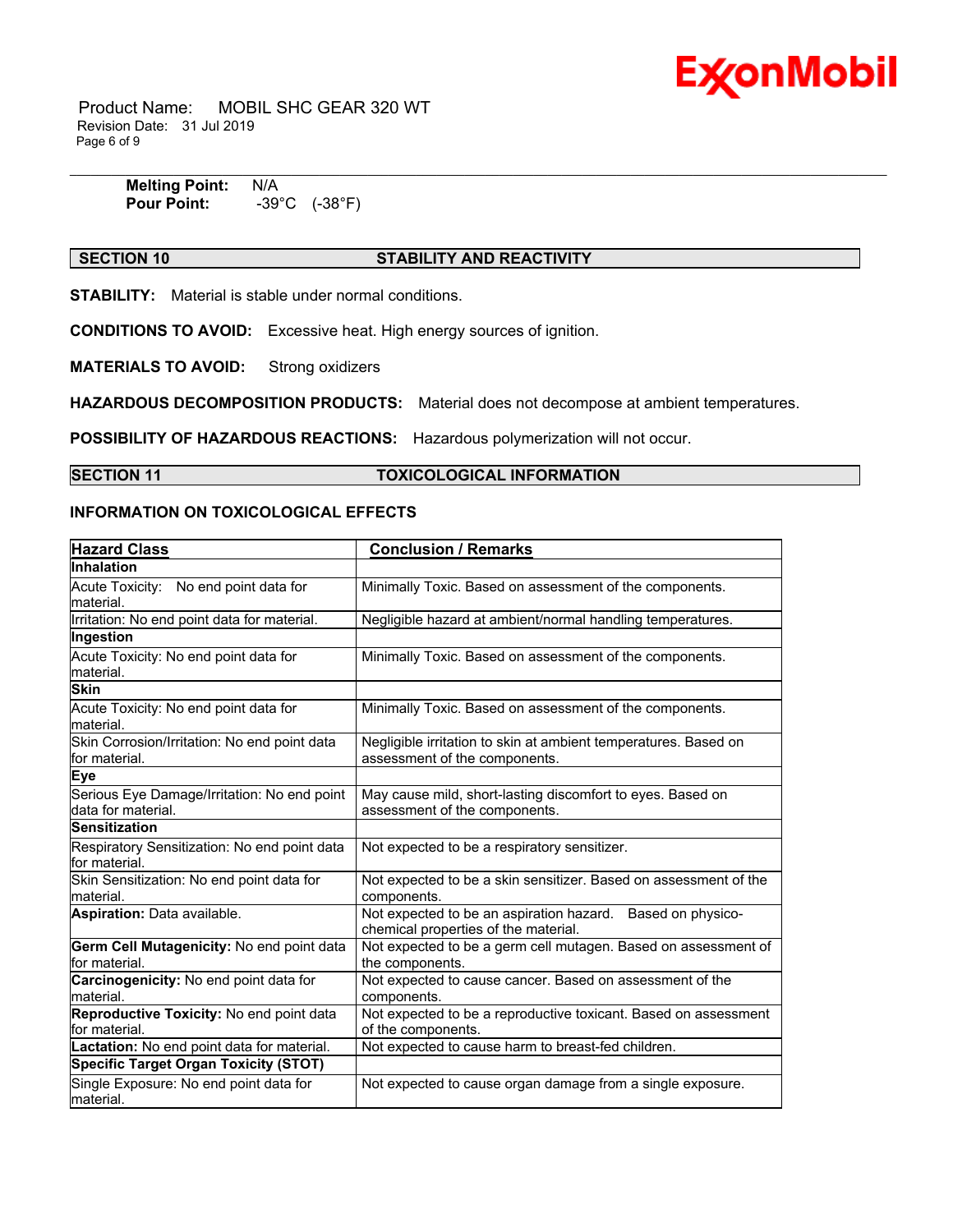

 Product Name: MOBIL SHC GEAR 320 WT Revision Date: 31 Jul 2019 Page 6 of 9

| <b>Melting Point:</b> | N/A                        |
|-----------------------|----------------------------|
| <b>Pour Point:</b>    | (-38°F)<br>$-39^{\circ}$ C |

# **SECTION 10 STABILITY AND REACTIVITY**

**STABILITY:** Material is stable under normal conditions.

**CONDITIONS TO AVOID:** Excessive heat. High energy sources of ignition.

**MATERIALS TO AVOID:** Strong oxidizers

**HAZARDOUS DECOMPOSITION PRODUCTS:** Material does not decompose at ambient temperatures.

**POSSIBILITY OF HAZARDOUS REACTIONS:** Hazardous polymerization will not occur.

# **SECTION 11 TOXICOLOGICAL INFORMATION**

### **INFORMATION ON TOXICOLOGICAL EFFECTS**

| <b>Hazard Class</b>                                               | <b>Conclusion / Remarks</b>                                                                        |  |
|-------------------------------------------------------------------|----------------------------------------------------------------------------------------------------|--|
| <b>Inhalation</b>                                                 |                                                                                                    |  |
| Acute Toxicity: No end point data for<br>lmaterial.               | Minimally Toxic. Based on assessment of the components.                                            |  |
| Irritation: No end point data for material.                       | Negligible hazard at ambient/normal handling temperatures.                                         |  |
| Ingestion                                                         |                                                                                                    |  |
| Acute Toxicity: No end point data for<br>material.                | Minimally Toxic. Based on assessment of the components.                                            |  |
| <b>Skin</b>                                                       |                                                                                                    |  |
| Acute Toxicity: No end point data for<br>lmaterial.               | Minimally Toxic. Based on assessment of the components.                                            |  |
| Skin Corrosion/Irritation: No end point data<br>lfor material.    | Negligible irritation to skin at ambient temperatures. Based on<br>assessment of the components.   |  |
| Eye                                                               |                                                                                                    |  |
| Serious Eye Damage/Irritation: No end point<br>data for material. | May cause mild, short-lasting discomfort to eyes. Based on<br>assessment of the components.        |  |
| <b>Sensitization</b>                                              |                                                                                                    |  |
| Respiratory Sensitization: No end point data<br>for material.     | Not expected to be a respiratory sensitizer.                                                       |  |
| Skin Sensitization: No end point data for<br>Imaterial.           | Not expected to be a skin sensitizer. Based on assessment of the<br>components.                    |  |
| <b>Aspiration: Data available.</b>                                | Not expected to be an aspiration hazard. Based on physico-<br>chemical properties of the material. |  |
| Germ Cell Mutagenicity: No end point data<br>lfor material.       | Not expected to be a germ cell mutagen. Based on assessment of<br>the components.                  |  |
| Carcinogenicity: No end point data for<br>Imaterial.              | Not expected to cause cancer. Based on assessment of the<br>components.                            |  |
| Reproductive Toxicity: No end point data<br>for material.         | Not expected to be a reproductive toxicant. Based on assessment<br>of the components.              |  |
| Lactation: No end point data for material.                        | Not expected to cause harm to breast-fed children.                                                 |  |
| <b>Specific Target Organ Toxicity (STOT)</b>                      |                                                                                                    |  |
| Single Exposure: No end point data for<br>material.               | Not expected to cause organ damage from a single exposure.                                         |  |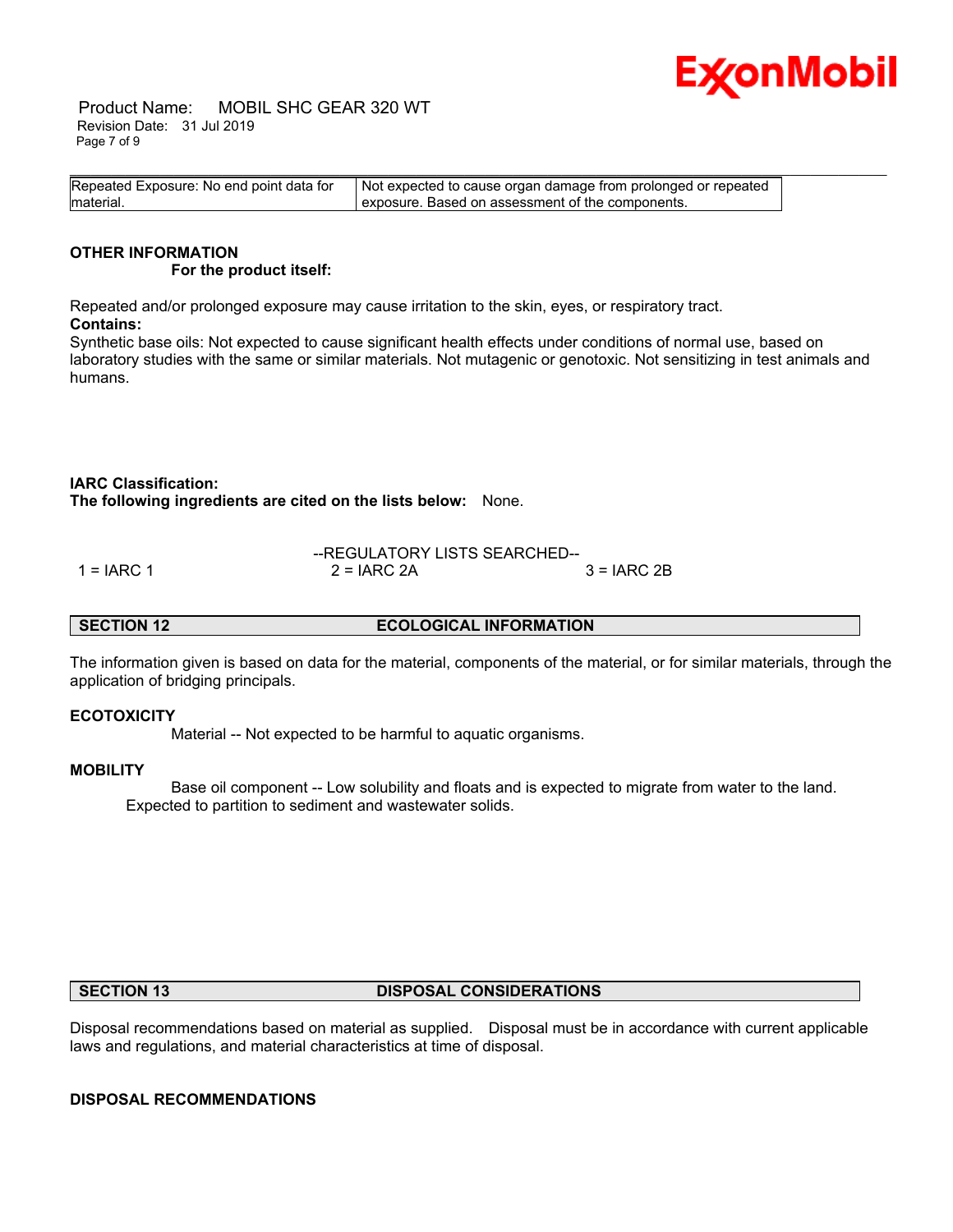

 Product Name: MOBIL SHC GEAR 320 WT Revision Date: 31 Jul 2019 Page 7 of 9

| Repeated Exposure: No end point data for | Not expected to cause organ damage from prolonged or repeated |
|------------------------------------------|---------------------------------------------------------------|
| material.                                | I exposure. Based on assessment of the components.            |

#### **OTHER INFORMATION For the product itself:**

Repeated and/or prolonged exposure may cause irritation to the skin, eyes, or respiratory tract. **Contains:**

Synthetic base oils: Not expected to cause significant health effects under conditions of normal use, based on laboratory studies with the same or similar materials. Not mutagenic or genotoxic. Not sensitizing in test animals and humans.

### **IARC Classification:**

**The following ingredients are cited on the lists below:** None.

|            |               | --REGULATORY LISTS SEARCHED-- |  |  |
|------------|---------------|-------------------------------|--|--|
| 1 = IARC 1 | $2 = IARC 2A$ | $3 = IARC 2B$                 |  |  |

**SECTION 12 ECOLOGICAL INFORMATION** 

The information given is based on data for the material, components of the material, or for similar materials, through the application of bridging principals.

### **ECOTOXICITY**

Material -- Not expected to be harmful to aquatic organisms.

### **MOBILITY**

 Base oil component -- Low solubility and floats and is expected to migrate from water to the land. Expected to partition to sediment and wastewater solids.

#### **SECTION 13 DISPOSAL CONSIDERATIONS**

Disposal recommendations based on material as supplied. Disposal must be in accordance with current applicable laws and regulations, and material characteristics at time of disposal.

### **DISPOSAL RECOMMENDATIONS**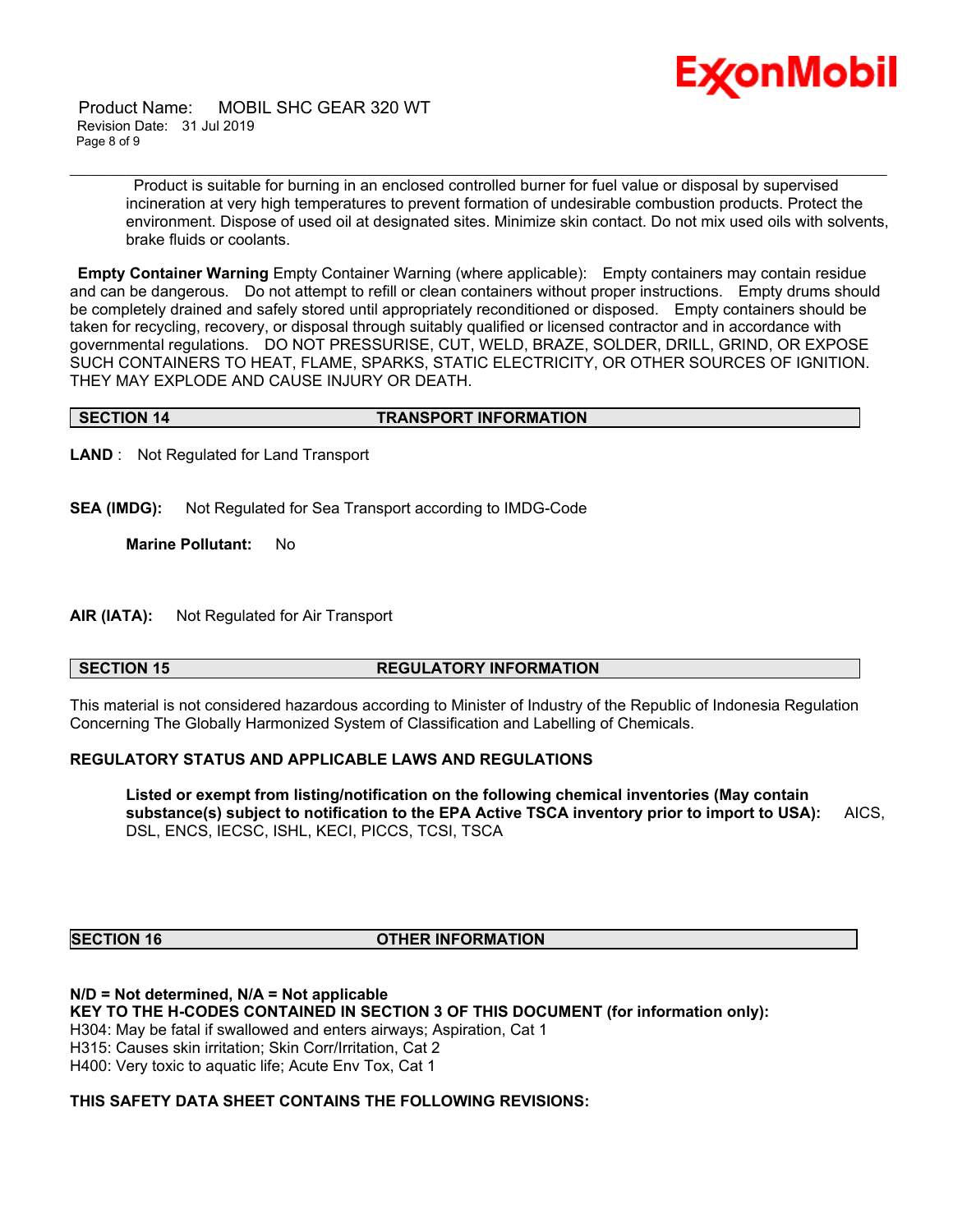

 Product Name: MOBIL SHC GEAR 320 WT Revision Date: 31 Jul 2019 Page 8 of 9

> Product is suitable for burning in an enclosed controlled burner for fuel value or disposal by supervised incineration at very high temperatures to prevent formation of undesirable combustion products. Protect the environment. Dispose of used oil at designated sites. Minimize skin contact. Do not mix used oils with solvents, brake fluids or coolants.

**Empty Container Warning** Empty Container Warning (where applicable): Empty containers may contain residue and can be dangerous. Do not attempt to refill or clean containers without proper instructions. Empty drums should be completely drained and safely stored until appropriately reconditioned or disposed. Empty containers should be taken for recycling, recovery, or disposal through suitably qualified or licensed contractor and in accordance with governmental regulations. DO NOT PRESSURISE, CUT, WELD, BRAZE, SOLDER, DRILL, GRIND, OR EXPOSE SUCH CONTAINERS TO HEAT, FLAME, SPARKS, STATIC ELECTRICITY, OR OTHER SOURCES OF IGNITION. THEY MAY EXPLODE AND CAUSE INJURY OR DEATH.

\_\_\_\_\_\_\_\_\_\_\_\_\_\_\_\_\_\_\_\_\_\_\_\_\_\_\_\_\_\_\_\_\_\_\_\_\_\_\_\_\_\_\_\_\_\_\_\_\_\_\_\_\_\_\_\_\_\_\_\_\_\_\_\_\_\_\_\_\_\_\_\_\_\_\_\_\_\_\_\_\_\_\_\_\_\_\_\_\_\_\_\_\_\_\_\_\_\_\_\_\_\_\_\_\_\_\_\_\_\_\_\_\_\_\_\_\_\_

#### **SECTION 14 TRANSPORT INFORMATION**

**LAND** : Not Regulated for Land Transport

**SEA (IMDG):** Not Regulated for Sea Transport according to IMDG-Code

**Marine Pollutant:** No

**AIR (IATA):** Not Regulated for Air Transport

### **SECTION 15 REGULATORY INFORMATION**

This material is not considered hazardous according to Minister of Industry of the Republic of Indonesia Regulation Concerning The Globally Harmonized System of Classification and Labelling of Chemicals.

### **REGULATORY STATUS AND APPLICABLE LAWS AND REGULATIONS**

**Listed or exempt from listing/notification on the following chemical inventories (May contain substance(s) subject to notification to the EPA Active TSCA inventory prior to import to USA):** AICS, DSL, ENCS, IECSC, ISHL, KECI, PICCS, TCSI, TSCA

### **SECTION 16 OTHER INFORMATION**

**N/D = Not determined, N/A = Not applicable KEY TO THE H-CODES CONTAINED IN SECTION 3 OF THIS DOCUMENT (for information only):** H304: May be fatal if swallowed and enters airways; Aspiration, Cat 1 H315: Causes skin irritation; Skin Corr/Irritation, Cat 2 H400: Very toxic to aquatic life; Acute Env Tox, Cat 1

### **THIS SAFETY DATA SHEET CONTAINS THE FOLLOWING REVISIONS:**